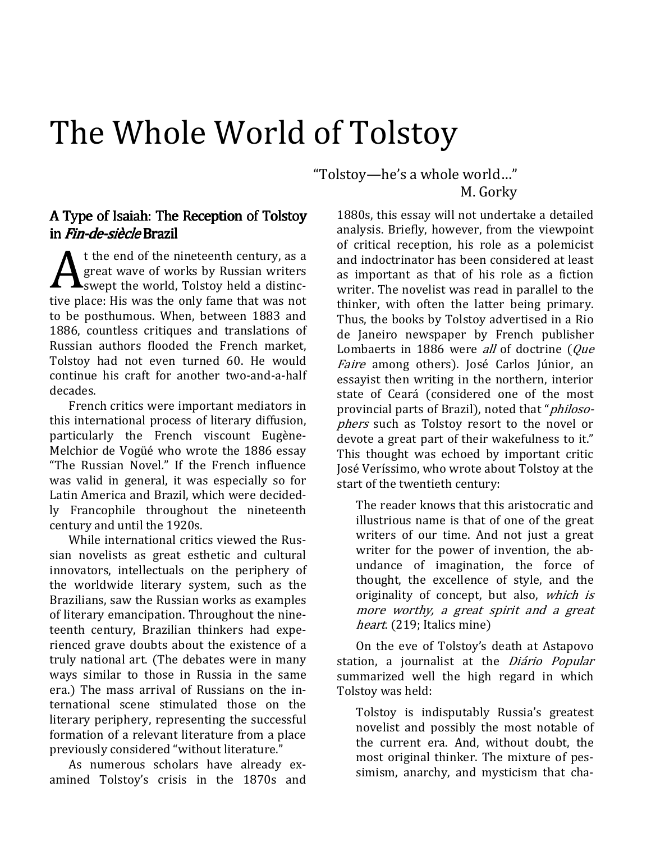## The Whole World of Tolstoy

"Tolstoy—he's a whole world…" M. Gorky

## A Type of Isaiah: The Reception of Tolstoy in Fin-de-siècleBrazil

t the end of the nineteenth century, as a great wave of works by Russian writers **A**swept the world, Tolstoy held a distinctive place: His was the only fame that was not to be posthumous. When, between 1883 and 1886, countless critiques and translations of Russian authors flooded the French market, Tolstoy had not even turned 60. He would continue his craft for another two-and-a-half decades.

French critics were important mediators in this international process of literary diffusion, particularly the French viscount Eugène-Melchior de Vogüé who wrote the 1886 essay "The Russian Novel." If the French influence was valid in general, it was especially so for Latin America and Brazil, which were decidedly Francophile throughout the nineteenth century and until the 1920s.

While international critics viewed the Russian novelists as great esthetic and cultural innovators, intellectuals on the periphery of the worldwide literary system, such as the Brazilians, saw the Russian works as examples of literary emancipation. Throughout the nineteenth century, Brazilian thinkers had experienced grave doubts about the existence of a truly national art. (The debates were in many ways similar to those in Russia in the same era.) The mass arrival of Russians on the international scene stimulated those on the literary periphery, representing the successful formation of a relevant literature from a place previously considered "without literature."

As numerous scholars have already examined Tolstoy's crisis in the 1870s and

1880s, this essay will not undertake a detailed analysis. Briefly, however, from the viewpoint of critical reception, his role as a polemicist and indoctrinator has been considered at least as important as that of his role as a fiction writer. The novelist was read in parallel to the thinker, with often the latter being primary. Thus, the books by Tolstoy advertised in a Rio de Janeiro newspaper by French publisher Lombaerts in 1886 were *all* of doctrine (Oue Faire among others). José Carlos Júnior, an essayist then writing in the northern, interior state of Ceará (considered one of the most provincial parts of Brazil), noted that "philosophers such as Tolstoy resort to the novel or devote a great part of their wakefulness to it." This thought was echoed by important critic José Veríssimo, who wrote about Tolstoy at the start of the twentieth century:

The reader knows that this aristocratic and illustrious name is that of one of the great writers of our time. And not just a great writer for the power of invention, the abundance of imagination, the force of thought, the excellence of style, and the originality of concept, but also, which is more worthy, a great spirit and a great heart. (219; Italics mine)

On the eve of Tolstoy's death at Astapovo station, a journalist at the *Diário Popular* summarized well the high regard in which Tolstoy was held:

Tolstoy is indisputably Russia's greatest novelist and possibly the most notable of the current era. And, without doubt, the most original thinker. The mixture of pessimism, anarchy, and mysticism that cha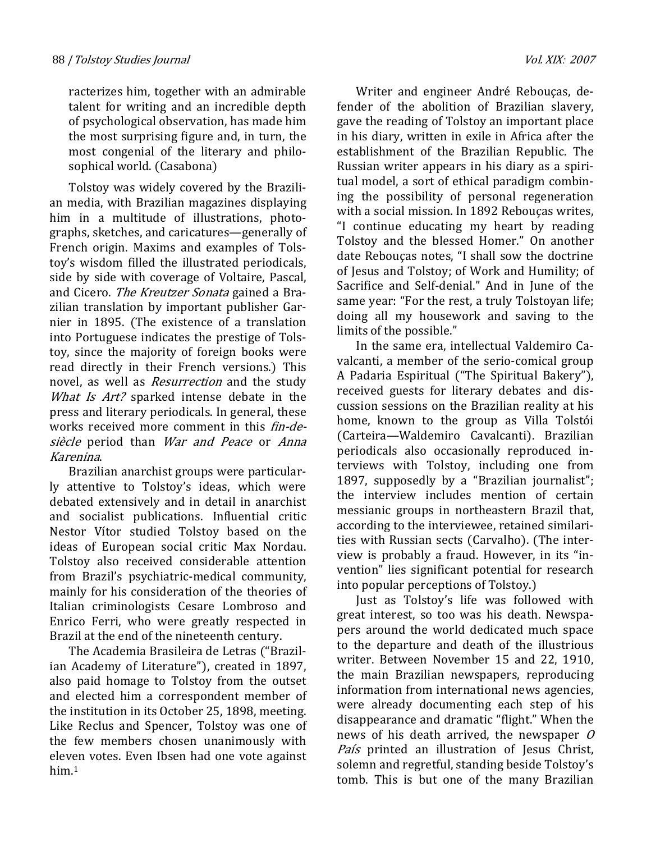racterizes him, together with an admirable talent for writing and an incredible depth of psychological observation, has made him the most surprising figure and, in turn, the most congenial of the literary and philosophical world. (Casabona)

Tolstoy was widely covered by the Brazilian media, with Brazilian magazines displaying him in a multitude of illustrations, photographs, sketches, and caricatures—generally of French origin. Maxims and examples of Tolstoy's wisdom filled the illustrated periodicals, side by side with coverage of Voltaire, Pascal, and Cicero. The Kreutzer Sonata gained a Brazilian translation by important publisher Garnier in 1895. (The existence of a translation into Portuguese indicates the prestige of Tolstoy, since the majority of foreign books were read directly in their French versions.) This novel, as well as *Resurrection* and the study What Is Art? sparked intense debate in the press and literary periodicals. In general, these works received more comment in this *fin-de*siècle period than *War and Peace* or Anna Karenina.

Brazilian anarchist groups were particularly attentive to Tolstoy's ideas, which were debated extensively and in detail in anarchist and socialist publications. Influential critic Nestor Vítor studied Tolstoy based on the ideas of European social critic Max Nordau. Tolstoy also received considerable attention from Brazil's psychiatric-medical community, mainly for his consideration of the theories of Italian criminologists Cesare Lombroso and Enrico Ferri, who were greatly respected in Brazil at the end of the nineteenth century.

The Academia Brasileira de Letras ("Brazilian Academy of Literature"), created in 1897, also paid homage to Tolstoy from the outset and elected him a correspondent member of the institution in its October 25, 1898, meeting. Like Reclus and Spencer, Tolstoy was one of the few members chosen unanimously with eleven votes. Even Ibsen had one vote against him.<sup>1</sup>

Writer and engineer André Rebouças, defender of the abolition of Brazilian slavery, gave the reading of Tolstoy an important place in his diary, written in exile in Africa after the establishment of the Brazilian Republic. The Russian writer appears in his diary as a spiritual model, a sort of ethical paradigm combining the possibility of personal regeneration with a social mission. In 1892 Rebouças writes, "I continue educating my heart by reading Tolstoy and the blessed Homer." On another date Rebouças notes, "I shall sow the doctrine of Jesus and Tolstoy; of Work and Humility; of Sacrifice and Self-denial." And in June of the same year: "For the rest, a truly Tolstoyan life; doing all my housework and saving to the limits of the possible."

In the same era, intellectual Valdemiro Cavalcanti, a member of the serio-comical group A Padaria Espiritual ("The Spiritual Bakery"), received guests for literary debates and discussion sessions on the Brazilian reality at his home, known to the group as Villa Tolstói (Carteira—Waldemiro Cavalcanti). Brazilian periodicals also occasionally reproduced interviews with Tolstoy, including one from 1897, supposedly by a "Brazilian journalist"; the interview includes mention of certain messianic groups in northeastern Brazil that, according to the interviewee, retained similarities with Russian sects (Carvalho). (The interview is probably a fraud. However, in its "invention" lies significant potential for research into popular perceptions of Tolstoy.)

Just as Tolstoy's life was followed with great interest, so too was his death. Newspapers around the world dedicated much space to the departure and death of the illustrious writer. Between November 15 and 22, 1910, the main Brazilian newspapers, reproducing information from international news agencies, were already documenting each step of his disappearance and dramatic "flight." When the news of his death arrived, the newspaper  $\theta$ País printed an illustration of Jesus Christ, solemn and regretful, standing beside Tolstoy's tomb. This is but one of the many Brazilian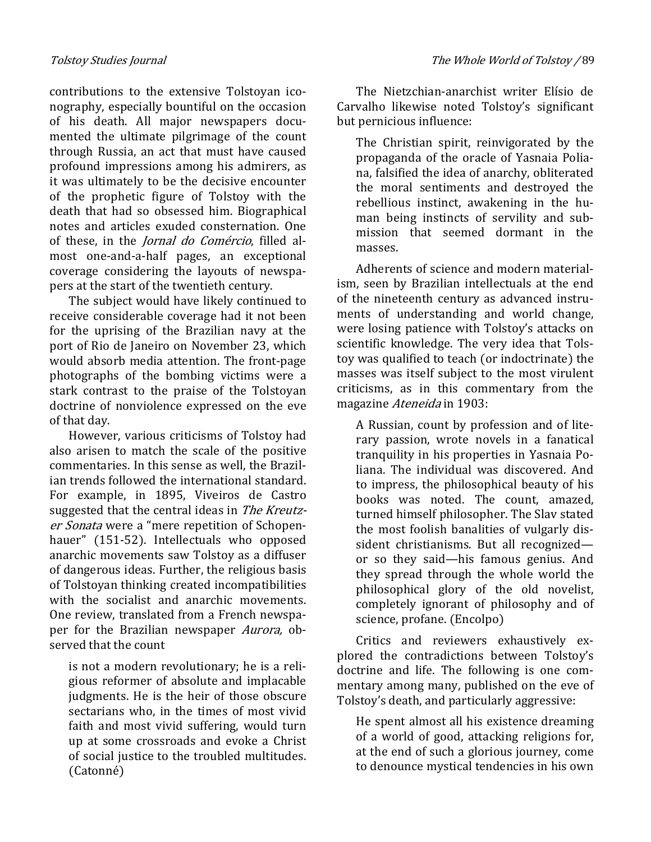contributions to the extensive Tolstoyan iconography, especially bountiful on the occasion of his death. All major newspapers documented the ultimate pilgrimage of the count through Russia, an act that must have caused profound impressions among his admirers, as it was ultimately to be the decisive encounter of the prophetic figure of Tolstoy with the death that had so obsessed him. Biographical notes and articles exuded consternation. One of these, in the Jornal do Comércio, filled almost one-and-a-half pages, an exceptional coverage considering the layouts of newspapers at the start of the twentieth century.

The subject would have likely continued to receive considerable coverage had it not been for the uprising of the Brazilian navy at the port of Rio de Janeiro on November 23, which would absorb media attention. The front-page photographs of the bombing victims were a stark contrast to the praise of the Tolstoyan doctrine of nonviolence expressed on the eve of that day.

However, various criticisms of Tolstoy had also arisen to match the scale of the positive commentaries. In this sense as well, the Brazilian trends followed the international standard. For example, in 1895, Viveiros de Castro suggested that the central ideas in The Kreutzer Sonata were a "mere repetition of Schopenhauer" (151-52). Intellectuals who opposed anarchic movements saw Tolstoy as a diffuser of dangerous ideas. Further, the religious basis of Tolstoyan thinking created incompatibilities with the socialist and anarchic movements. One review, translated from a French newspaper for the Brazilian newspaper Aurora, observed that the count

is not a modern revolutionary; he is a religious reformer of absolute and implacable judgments. He is the heir of those obscure sectarians who, in the times of most vivid faith and most vivid suffering, would turn up at some crossroads and evoke a Christ of social justice to the troubled multitudes. (Catonné)

The Nietzchian-anarchist writer Elísio de Carvalho likewise noted Tolstoy's significant but pernicious influence:

The Christian spirit, reinvigorated by the propaganda of the oracle of Yasnaia Poliana, falsified the idea of anarchy, obliterated the moral sentiments and destroyed the rebellious instinct, awakening in the human being instincts of servility and submission that seemed dormant in the masses.

Adherents of science and modern materialism, seen by Brazilian intellectuals at the end of the nineteenth century as advanced instruments of understanding and world change, were losing patience with Tolstoy's attacks on scientific knowledge. The very idea that Tolstoy was qualified to teach (or indoctrinate) the masses was itself subject to the most virulent criticisms, as in this commentary from the magazine Ateneida in 1903:

A Russian, count by profession and of literary passion, wrote novels in a fanatical tranquility in his properties in Yasnaia Poliana. The individual was discovered. And to impress, the philosophical beauty of his books was noted. The count, amazed, turned himself philosopher. The Slav stated the most foolish banalities of vulgarly dissident christianisms. But all recognized or so they said—his famous genius. And they spread through the whole world the philosophical glory of the old novelist, completely ignorant of philosophy and of science, profane. (Encolpo)

Critics and reviewers exhaustively explored the contradictions between Tolstoy's doctrine and life. The following is one commentary among many, published on the eve of Tolstoy's death, and particularly aggressive:

He spent almost all his existence dreaming of a world of good, attacking religions for, at the end of such a glorious journey, come to denounce mystical tendencies in his own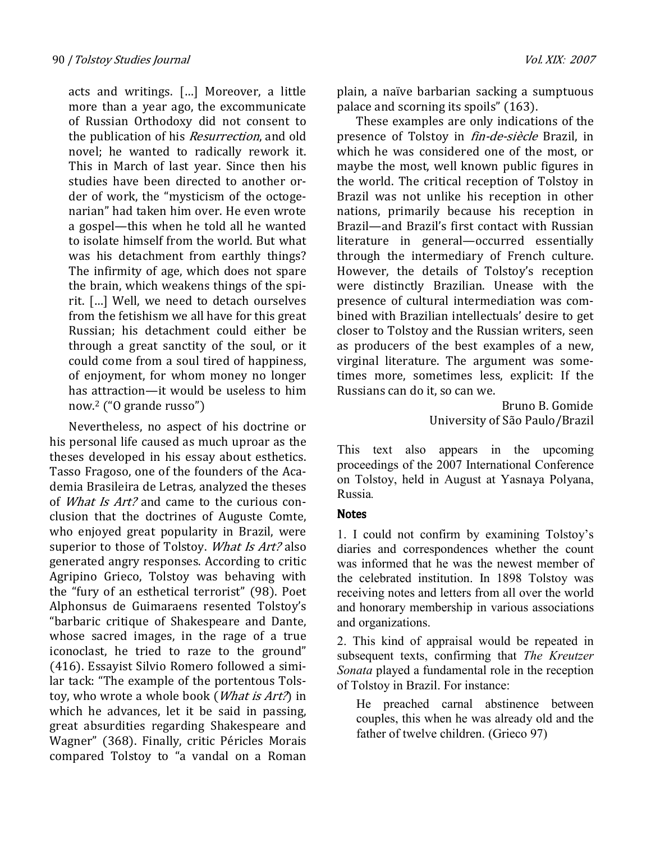acts and writings. […] Moreover, a little more than a year ago, the excommunicate of Russian Orthodoxy did not consent to the publication of his *Resurrection*, and old novel; he wanted to radically rework it. This in March of last year. Since then his studies have been directed to another order of work, the "mysticism of the octogenarian" had taken him over. He even wrote a gospel—this when he told all he wanted to isolate himself from the world. But what was his detachment from earthly things? The infirmity of age, which does not spare the brain, which weakens things of the spirit. […] Well, we need to detach ourselves from the fetishism we all have for this great Russian; his detachment could either be through a great sanctity of the soul, or it could come from a soul tired of happiness, of enjoyment, for whom money no longer has attraction—it would be useless to him now.<sup>2</sup> ("O grande russo")

Nevertheless, no aspect of his doctrine or his personal life caused as much uproar as the theses developed in his essay about esthetics. Tasso Fragoso, one of the founders of the Academia Brasileira de Letras, analyzed the theses of *What Is Art?* and came to the curious conclusion that the doctrines of Auguste Comte, who enjoyed great popularity in Brazil, were superior to those of Tolstoy. What Is Art? also generated angry responses. According to critic Agripino Grieco, Tolstoy was behaving with the "fury of an esthetical terrorist" (98). Poet Alphonsus de Guimaraens resented Tolstoy's "barbaric critique of Shakespeare and Dante, whose sacred images, in the rage of a true iconoclast, he tried to raze to the ground" (416). Essayist Silvio Romero followed a similar tack: "The example of the portentous Tolstoy, who wrote a whole book (*What is Art?*) in which he advances, let it be said in passing, great absurdities regarding Shakespeare and Wagner" (368). Finally, critic Péricles Morais compared Tolstoy to "a vandal on a Roman

plain, a naïve barbarian sacking a sumptuous palace and scorning its spoils" (163).

These examples are only indications of the presence of Tolstoy in fin-de-siècle Brazil, in which he was considered one of the most, or maybe the most, well known public figures in the world. The critical reception of Tolstoy in Brazil was not unlike his reception in other nations, primarily because his reception in Brazil—and Brazil's first contact with Russian literature in general—occurred essentially through the intermediary of French culture. However, the details of Tolstoy's reception were distinctly Brazilian. Unease with the presence of cultural intermediation was combined with Brazilian intellectuals' desire to get closer to Tolstoy and the Russian writers, seen as producers of the best examples of a new, virginal literature. The argument was sometimes more, sometimes less, explicit: If the Russians can do it, so can we.

> Bruno B. Gomide University of São Paulo/Brazil

This text also appears in the upcoming proceedings of the 2007 International Conference on Tolstoy, held in August at Yasnaya Polyana, Russia.

## **Notes**

1. I could not confirm by examining Tolstoy's diaries and correspondences whether the count was informed that he was the newest member of the celebrated institution. In 1898 Tolstoy was receiving notes and letters from all over the world and honorary membership in various associations and organizations.

2. This kind of appraisal would be repeated in subsequent texts, confirming that The Kreutzer Sonata played a fundamental role in the reception of Tolstoy in Brazil. For instance:

He preached carnal abstinence between couples, this when he was already old and the father of twelve children. (Grieco 97)